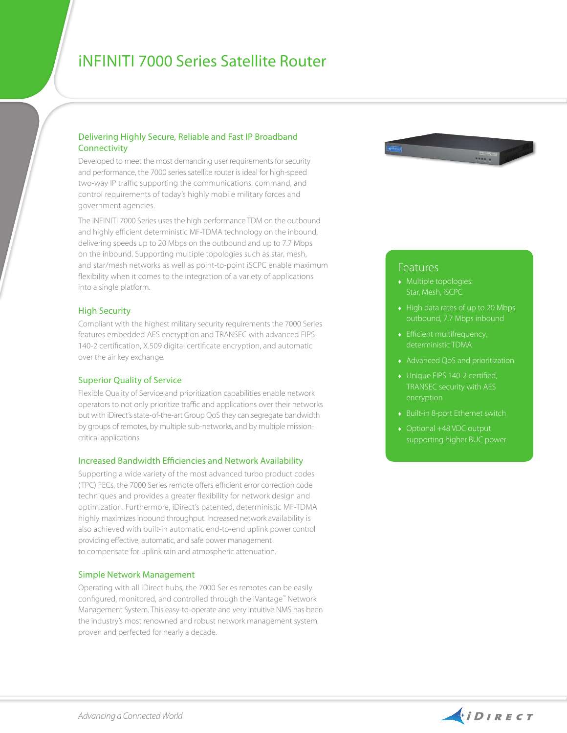# iNfiniti 7000 Series Satellite Router

## Delivering Highly Secure, Reliable and Fast IP Broadband **Connectivity**

Developed to meet the most demanding user requirements for security and performance, the 7000 series satellite router is ideal for high-speed two-way IP traffic supporting the communications, command, and control requirements of today's highly mobile military forces and government agencies.

The iNFINITI 7000 Series uses the high performance TDM on the outbound and highly efficient deterministic MF-TDMA technology on the inbound, delivering speeds up to 20 Mbps on the outbound and up to 7.7 Mbps on the inbound. Supporting multiple topologies such as star, mesh, and star/mesh networks as well as point-to-point iSCPC enable maximum flexibility when it comes to the integration of a variety of applications into a single platform.

## High Security

Compliant with the highest military security requirements the 7000 Series features embedded AES encryption and TRANSEC with advanced FIPS 140-2 certification, X.509 digital certificate encryption, and automatic over the air key exchange.

#### Superior Quality of Service

Flexible Quality of Service and prioritization capabilities enable network operators to not only prioritize traffic and applications over their networks but with iDirect's state-of-the-art Group QoS they can segregate bandwidth by groups of remotes, by multiple sub-networks, and by multiple missioncritical applications.

#### Increased Bandwidth Efficiencies and Network Availability

Supporting a wide variety of the most advanced turbo product codes (TPC) FECs, the 7000 Series remote offers efficient error correction code techniques and provides a greater flexibility for network design and optimization. Furthermore, iDirect's patented, deterministic MF-TDMA highly maximizes inbound throughput. Increased network availability is also achieved with built-in automatic end-to-end uplink power control providing effective, automatic, and safe power management to compensate for uplink rain and atmospheric attenuation.

## Simple Network Management

Operating with all iDirect hubs, the 7000 Series remotes can be easily configured, monitored, and controlled through the iVantage™ Network Management System. This easy-to-operate and very intuitive NMS has been the industry's most renowned and robust network management system, proven and perfected for nearly a decade.



# **Features**

- ♦ Multiple topologies: Star, Mesh, iSCPC
- outbound, 7.7 Mbps inbound
- ♦ Efficient multifrequency, deterministic TDMA
- ♦ Advanced QoS and prioritization
- ♦ Unique FIPS 140-2 certified,
- ♦ Built-in 8-port Ethernet switch
- ♦ Optional +48 VDC output supporting higher BUC power